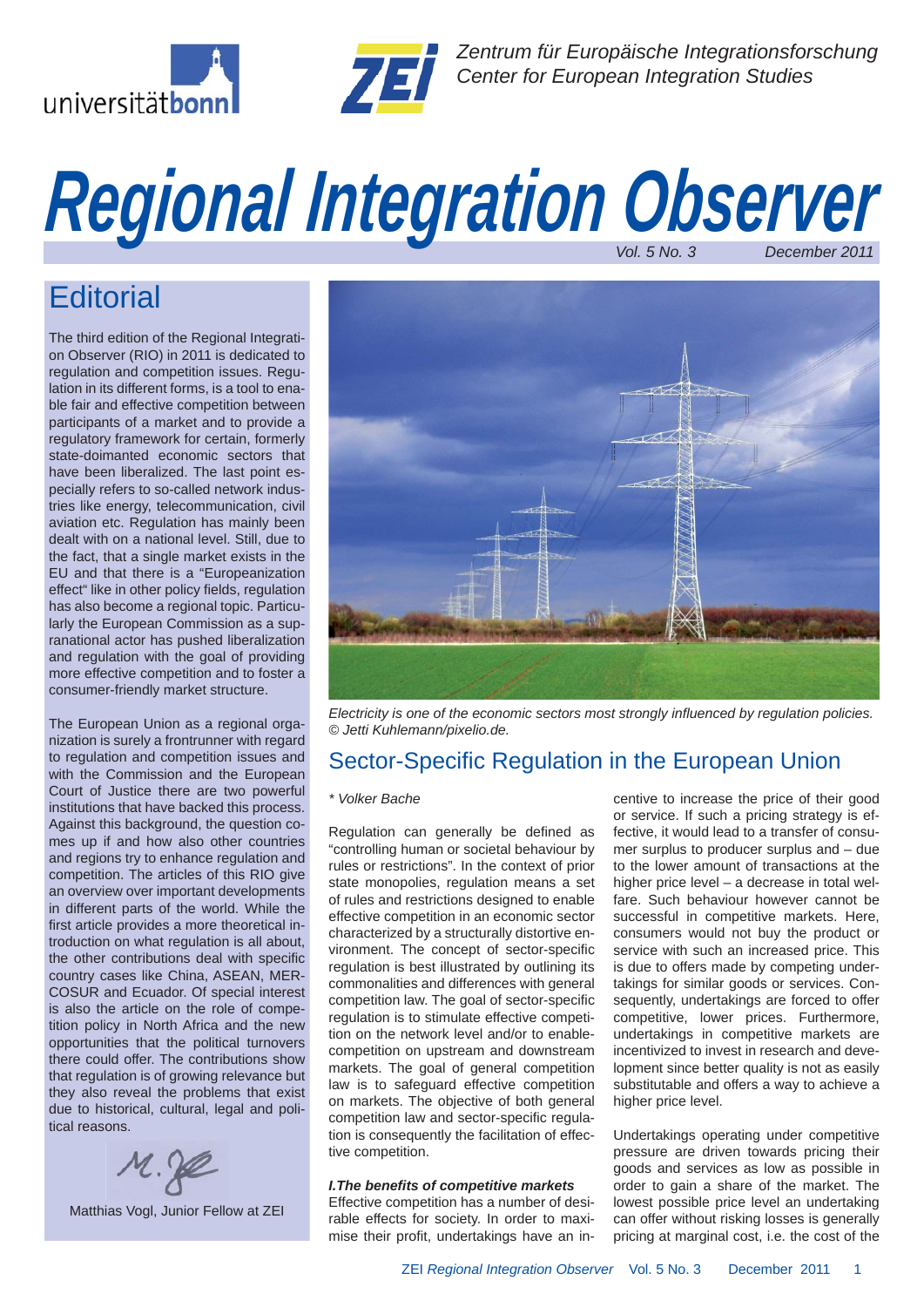



*Zentrum für Europäische Integrationsforschung Center for European Integration Studies*

# *Regional Integration Observer Vol. 5 No. 3 December 2011*

## **Editorial**

The third edition of the Regional Integration Observer (RIO) in 2011 is dedicated to regulation and competition issues. Regulation in its different forms, is a tool to enable fair and effective competition between participants of a market and to provide a regulatory framework for certain, formerly state-doimanted economic sectors that have been liberalized. The last point especially refers to so-called network industries like energy, telecommunication, civil aviation etc. Regulation has mainly been dealt with on a national level. Still, due to the fact, that a single market exists in the EU and that there is a "Europeanization effect" like in other policy fields, regulation has also become a regional topic. Particularly the European Commission as a supranational actor has pushed liberalization and regulation with the goal of providing more effective competition and to foster a consumer-friendly market structure.

The European Union as a regional organization is surely a frontrunner with regard to regulation and competition issues and with the Commission and the European Court of Justice there are two powerful institutions that have backed this process. Against this background, the question comes up if and how also other countries and regions try to enhance regulation and competition. The articles of this RIO give an overview over important developments in different parts of the world. While the first article provides a more theoretical introduction on what regulation is all about, the other contributions deal with specific country cases like China, ASEAN, MER-COSUR and Ecuador. Of special interest is also the article on the role of competition policy in North Africa and the new opportunities that the political turnovers there could offer. The contributions show that regulation is of growing relevance but they also reveal the problems that exist due to historical, cultural, legal and political reasons.



Matthias Vogl, Junior Fellow at ZEI



*Electricity is one of the economic sectors most strongly infl uenced by regulation policies. © Jetti Kuhlemann/pixelio.de.*

### Sector-Specific Regulation in the European Union

#### *\* Volker Bache*

Regulation can generally be defined as "controlling human or societal behaviour by rules or restrictions". In the context of prior state monopolies, regulation means a set of rules and restrictions designed to enable effective competition in an economic sector characterized by a structurally distortive environment. The concept of sector-specific regulation is best illustrated by outlining its commonalities and differences with general competition law. The goal of sector-specific regulation is to stimulate effective competition on the network level and/or to enablecompetition on upstream and downstream markets. The goal of general competition law is to safeguard effective competition on markets. The objective of both general competition law and sector-specific regulation is consequently the facilitation of effective competition.

#### *I.The benefi ts of competitive markets*

Effective competition has a number of desirable effects for society. In order to maximise their profit, undertakings have an incentive to increase the price of their good or service. If such a pricing strategy is effective, it would lead to a transfer of consumer surplus to producer surplus and – due to the lower amount of transactions at the higher price level – a decrease in total welfare. Such behaviour however cannot be successful in competitive markets. Here, consumers would not buy the product or service with such an increased price. This is due to offers made by competing undertakings for similar goods or services. Consequently, undertakings are forced to offer competitive, lower prices. Furthermore, undertakings in competitive markets are incentivized to invest in research and development since better quality is not as easily substitutable and offers a way to achieve a higher price level.

Undertakings operating under competitive pressure are driven towards pricing their goods and services as low as possible in order to gain a share of the market. The lowest possible price level an undertaking can offer without risking losses is generally pricing at marginal cost, i.e. the cost of the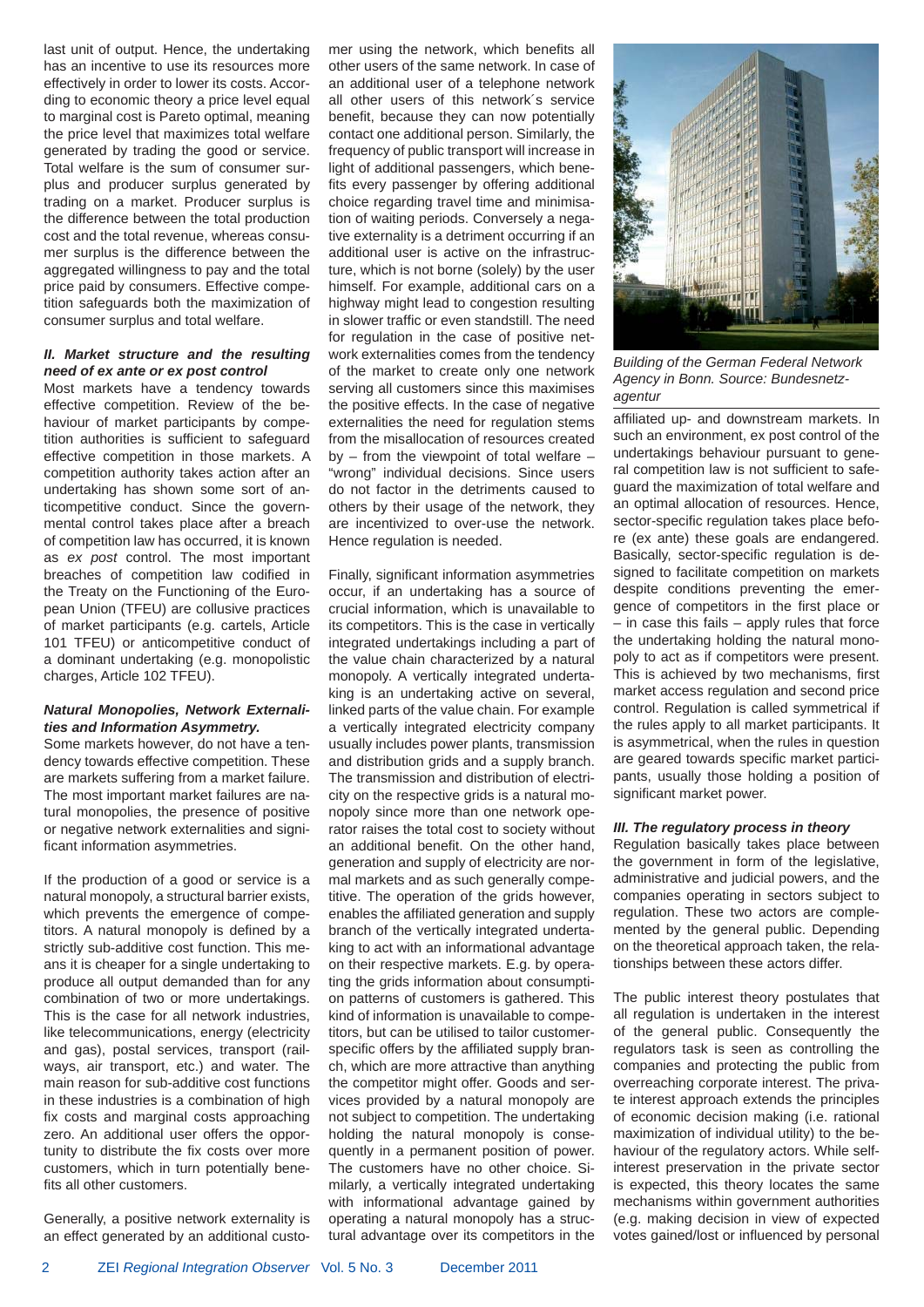last unit of output. Hence, the undertaking has an incentive to use its resources more effectively in order to lower its costs. According to economic theory a price level equal to marginal cost is Pareto optimal, meaning the price level that maximizes total welfare generated by trading the good or service. Total welfare is the sum of consumer surplus and producer surplus generated by trading on a market. Producer surplus is the difference between the total production cost and the total revenue, whereas consumer surplus is the difference between the aggregated willingness to pay and the total price paid by consumers. Effective competition safeguards both the maximization of consumer surplus and total welfare.

#### *II. Market structure and the resulting need of ex ante or ex post control*

Most markets have a tendency towards effective competition. Review of the behaviour of market participants by competition authorities is sufficient to safeguard effective competition in those markets. A competition authority takes action after an undertaking has shown some sort of anticompetitive conduct. Since the governmental control takes place after a breach of competition law has occurred, it is known as *ex post* control. The most important breaches of competition law codified in the Treaty on the Functioning of the European Union (TFEU) are collusive practices of market participants (e.g. cartels, Article 101 TFEU) or anticompetitive conduct of a dominant undertaking (e.g. monopolistic charges, Article 102 TFEU).

#### *Natural Monopolies, Network Externalities and Information Asymmetry.*

Some markets however, do not have a tendency towards effective competition. These are markets suffering from a market failure. The most important market failures are natural monopolies, the presence of positive or negative network externalities and significant information asymmetries.

If the production of a good or service is a natural monopoly, a structural barrier exists, which prevents the emergence of competitors. A natural monopoly is defined by a strictly sub-additive cost function. This means it is cheaper for a single undertaking to produce all output demanded than for any combination of two or more undertakings. This is the case for all network industries, like telecommunications, energy (electricity and gas), postal services, transport (railways, air transport, etc.) and water. The main reason for sub-additive cost functions in these industries is a combination of high fix costs and marginal costs approaching zero. An additional user offers the opportunity to distribute the fix costs over more customers, which in turn potentially benefits all other customers.

Generally, a positive network externality is an effect generated by an additional customer using the network, which benefits all other users of the same network. In case of an additional user of a telephone network all other users of this network´s service benefit, because they can now potentially contact one additional person. Similarly, the frequency of public transport will increase in light of additional passengers, which benefits every passenger by offering additional choice regarding travel time and minimisation of waiting periods. Conversely a negative externality is a detriment occurring if an additional user is active on the infrastructure, which is not borne (solely) by the user himself. For example, additional cars on a highway might lead to congestion resulting in slower traffic or even standstill. The need for regulation in the case of positive network externalities comes from the tendency of the market to create only one network serving all customers since this maximises the positive effects. In the case of negative externalities the need for regulation stems from the misallocation of resources created by  $-$  from the viewpoint of total welfare  $-$ "wrong" individual decisions. Since users do not factor in the detriments caused to others by their usage of the network, they are incentivized to over-use the network. Hence regulation is needed.

Finally, significant information asymmetries occur, if an undertaking has a source of crucial information, which is unavailable to its competitors. This is the case in vertically integrated undertakings including a part of the value chain characterized by a natural monopoly. A vertically integrated undertaking is an undertaking active on several, linked parts of the value chain. For example a vertically integrated electricity company usually includes power plants, transmission and distribution grids and a supply branch. The transmission and distribution of electricity on the respective grids is a natural monopoly since more than one network operator raises the total cost to society without an additional benefit. On the other hand, generation and supply of electricity are normal markets and as such generally competitive. The operation of the grids however, enables the affiliated generation and supply branch of the vertically integrated undertaking to act with an informational advantage on their respective markets. E.g. by operating the grids information about consumption patterns of customers is gathered. This kind of information is unavailable to competitors, but can be utilised to tailor customerspecific offers by the affiliated supply branch, which are more attractive than anything the competitor might offer. Goods and services provided by a natural monopoly are not subject to competition. The undertaking holding the natural monopoly is consequently in a permanent position of power. The customers have no other choice. Similarly, a vertically integrated undertaking with informational advantage gained by operating a natural monopoly has a structural advantage over its competitors in the



*Building of the German Federal Network Agency in Bonn. Source: Bundesnetzagentur*

affiliated up- and downstream markets. In such an environment, ex post control of the undertakings behaviour pursuant to general competition law is not sufficient to safeguard the maximization of total welfare and an optimal allocation of resources. Hence, sector-specific regulation takes place before (ex ante) these goals are endangered. Basically, sector-specific regulation is designed to facilitate competition on markets despite conditions preventing the emergence of competitors in the first place or – in case this fails – apply rules that force the undertaking holding the natural monopoly to act as if competitors were present. This is achieved by two mechanisms, first market access regulation and second price control. Regulation is called symmetrical if the rules apply to all market participants. It is asymmetrical, when the rules in question are geared towards specific market participants, usually those holding a position of significant market power.

#### *III. The regulatory process in theory*

Regulation basically takes place between the government in form of the legislative, administrative and judicial powers, and the companies operating in sectors subject to regulation. These two actors are complemented by the general public. Depending on the theoretical approach taken, the relationships between these actors differ.

The public interest theory postulates that all regulation is undertaken in the interest of the general public. Consequently the regulators task is seen as controlling the companies and protecting the public from overreaching corporate interest. The private interest approach extends the principles of economic decision making (i.e. rational maximization of individual utility) to the behaviour of the regulatory actors. While selfinterest preservation in the private sector is expected, this theory locates the same mechanisms within government authorities (e.g. making decision in view of expected votes gained/lost or influenced by personal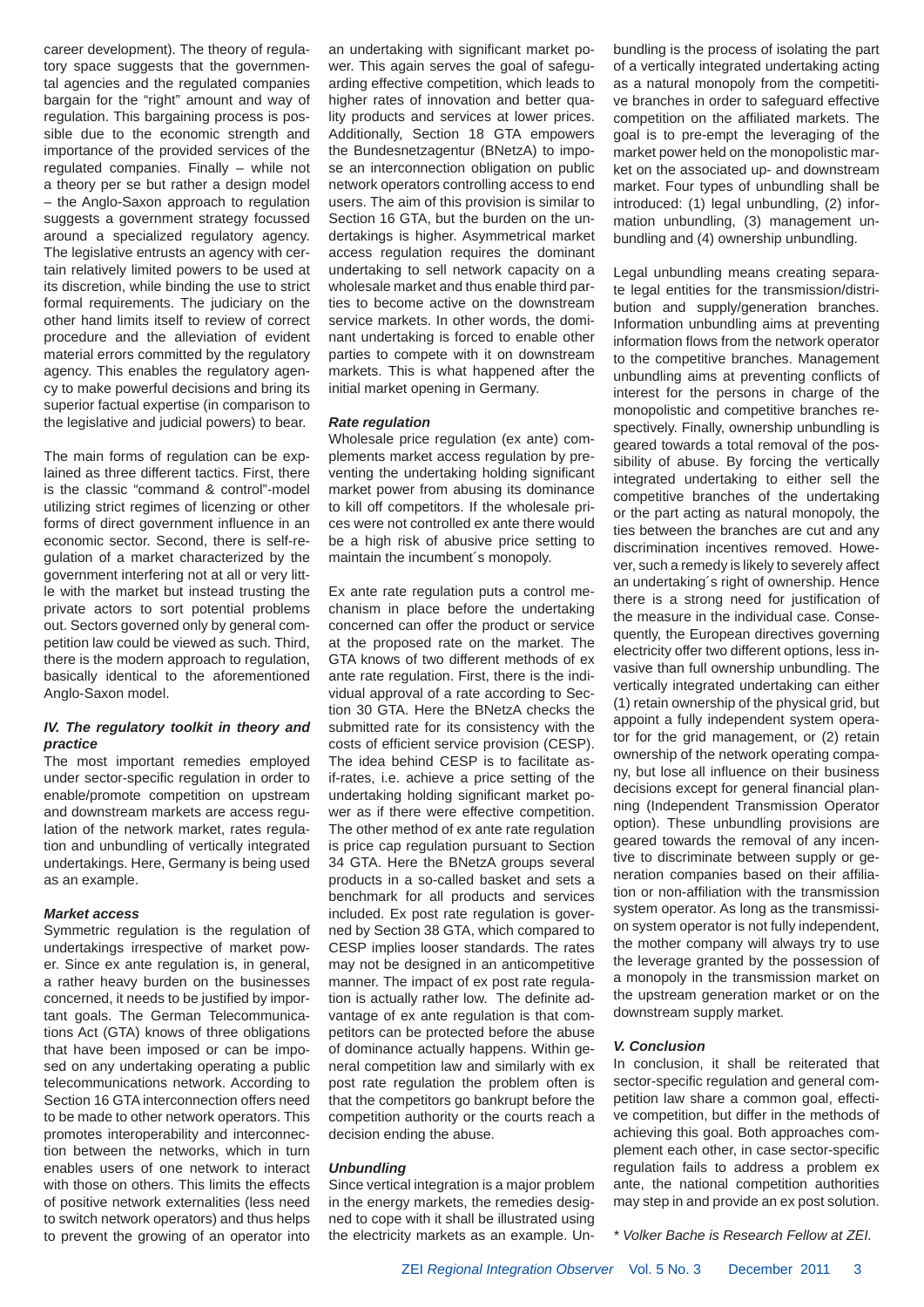career development). The theory of regulatory space suggests that the governmental agencies and the regulated companies bargain for the "right" amount and way of regulation. This bargaining process is possible due to the economic strength and importance of the provided services of the regulated companies. Finally – while not a theory per se but rather a design model – the Anglo-Saxon approach to regulation suggests a government strategy focussed around a specialized regulatory agency. The legislative entrusts an agency with certain relatively limited powers to be used at its discretion, while binding the use to strict formal requirements. The judiciary on the other hand limits itself to review of correct procedure and the alleviation of evident material errors committed by the regulatory agency. This enables the regulatory agency to make powerful decisions and bring its superior factual expertise (in comparison to the legislative and judicial powers) to bear.

The main forms of regulation can be explained as three different tactics. First, there is the classic "command & control"-model utilizing strict regimes of licenzing or other forms of direct government influence in an economic sector. Second, there is self-regulation of a market characterized by the government interfering not at all or very little with the market but instead trusting the private actors to sort potential problems out. Sectors governed only by general competition law could be viewed as such. Third, there is the modern approach to regulation, basically identical to the aforementioned Anglo-Saxon model.

#### *IV. The regulatory toolkit in theory and practice*

The most important remedies employed under sector-specific regulation in order to enable/promote competition on upstream and downstream markets are access regulation of the network market, rates regulation and unbundling of vertically integrated undertakings. Here, Germany is being used as an example.

#### *Market access*

Symmetric regulation is the regulation of undertakings irrespective of market power. Since ex ante regulation is, in general, a rather heavy burden on the businesses concerned, it needs to be justified by important goals. The German Telecommunications Act (GTA) knows of three obligations that have been imposed or can be imposed on any undertaking operating a public telecommunications network. According to Section 16 GTA interconnection offers need to be made to other network operators. This promotes interoperability and interconnection between the networks, which in turn enables users of one network to interact with those on others. This limits the effects of positive network externalities (less need to switch network operators) and thus helps to prevent the growing of an operator into an undertaking with significant market power. This again serves the goal of safeguarding effective competition, which leads to higher rates of innovation and better quality products and services at lower prices. Additionally, Section 18 GTA empowers the Bundesnetzagentur (BNetzA) to impose an interconnection obligation on public network operators controlling access to end users. The aim of this provision is similar to Section 16 GTA, but the burden on the undertakings is higher. Asymmetrical market access regulation requires the dominant undertaking to sell network capacity on a wholesale market and thus enable third parties to become active on the downstream service markets. In other words, the dominant undertaking is forced to enable other parties to compete with it on downstream markets. This is what happened after the initial market opening in Germany.

#### *Rate regulation*

Wholesale price regulation (ex ante) complements market access regulation by preventing the undertaking holding significant market power from abusing its dominance to kill off competitors. If the wholesale prices were not controlled ex ante there would be a high risk of abusive price setting to maintain the incumbent´s monopoly.

Ex ante rate regulation puts a control mechanism in place before the undertaking concerned can offer the product or service at the proposed rate on the market. The GTA knows of two different methods of ex ante rate regulation. First, there is the individual approval of a rate according to Section 30 GTA. Here the BNetzA checks the submitted rate for its consistency with the costs of efficient service provision (CESP). The idea behind CESP is to facilitate asif-rates, i.e. achieve a price setting of the undertaking holding significant market power as if there were effective competition. The other method of ex ante rate regulation is price cap regulation pursuant to Section 34 GTA. Here the BNetzA groups several products in a so-called basket and sets a benchmark for all products and services included. Ex post rate regulation is governed by Section 38 GTA, which compared to CESP implies looser standards. The rates may not be designed in an anticompetitive manner. The impact of ex post rate regulation is actually rather low. The definite advantage of ex ante regulation is that competitors can be protected before the abuse of dominance actually happens. Within general competition law and similarly with ex post rate regulation the problem often is that the competitors go bankrupt before the competition authority or the courts reach a decision ending the abuse.

#### *Unbundling*

Since vertical integration is a major problem in the energy markets, the remedies designed to cope with it shall be illustrated using the electricity markets as an example. Unbundling is the process of isolating the part of a vertically integrated undertaking acting as a natural monopoly from the competitive branches in order to safeguard effective competition on the affiliated markets. The goal is to pre-empt the leveraging of the market power held on the monopolistic market on the associated up- and downstream market. Four types of unbundling shall be introduced: (1) legal unbundling, (2) information unbundling, (3) management unbundling and (4) ownership unbundling.

Legal unbundling means creating separate legal entities for the transmission/distribution and supply/generation branches. Information unbundling aims at preventing information flows from the network operator to the competitive branches. Management unbundling aims at preventing conflicts of interest for the persons in charge of the monopolistic and competitive branches respectively. Finally, ownership unbundling is geared towards a total removal of the possibility of abuse. By forcing the vertically integrated undertaking to either sell the competitive branches of the undertaking or the part acting as natural monopoly, the ties between the branches are cut and any discrimination incentives removed. However, such a remedy is likely to severely affect an undertaking´s right of ownership. Hence there is a strong need for justification of the measure in the individual case. Consequently, the European directives governing electricity offer two different options, less invasive than full ownership unbundling. The vertically integrated undertaking can either (1) retain ownership of the physical grid, but appoint a fully independent system operator for the grid management, or (2) retain ownership of the network operating company, but lose all influence on their business decisions except for general financial planning (Independent Transmission Operator option). These unbundling provisions are geared towards the removal of any incentive to discriminate between supply or generation companies based on their affiliation or non-affiliation with the transmission system operator. As long as the transmission system operator is not fully independent, the mother company will always try to use the leverage granted by the possession of a monopoly in the transmission market on the upstream generation market or on the downstream supply market.

#### *V. Conclusion*

In conclusion, it shall be reiterated that sector-specific regulation and general competition law share a common goal, effective competition, but differ in the methods of achieving this goal. Both approaches complement each other, in case sector-specific regulation fails to address a problem ex ante, the national competition authorities may step in and provide an ex post solution.

*\* Volker Bache is Research Fellow at ZEI.*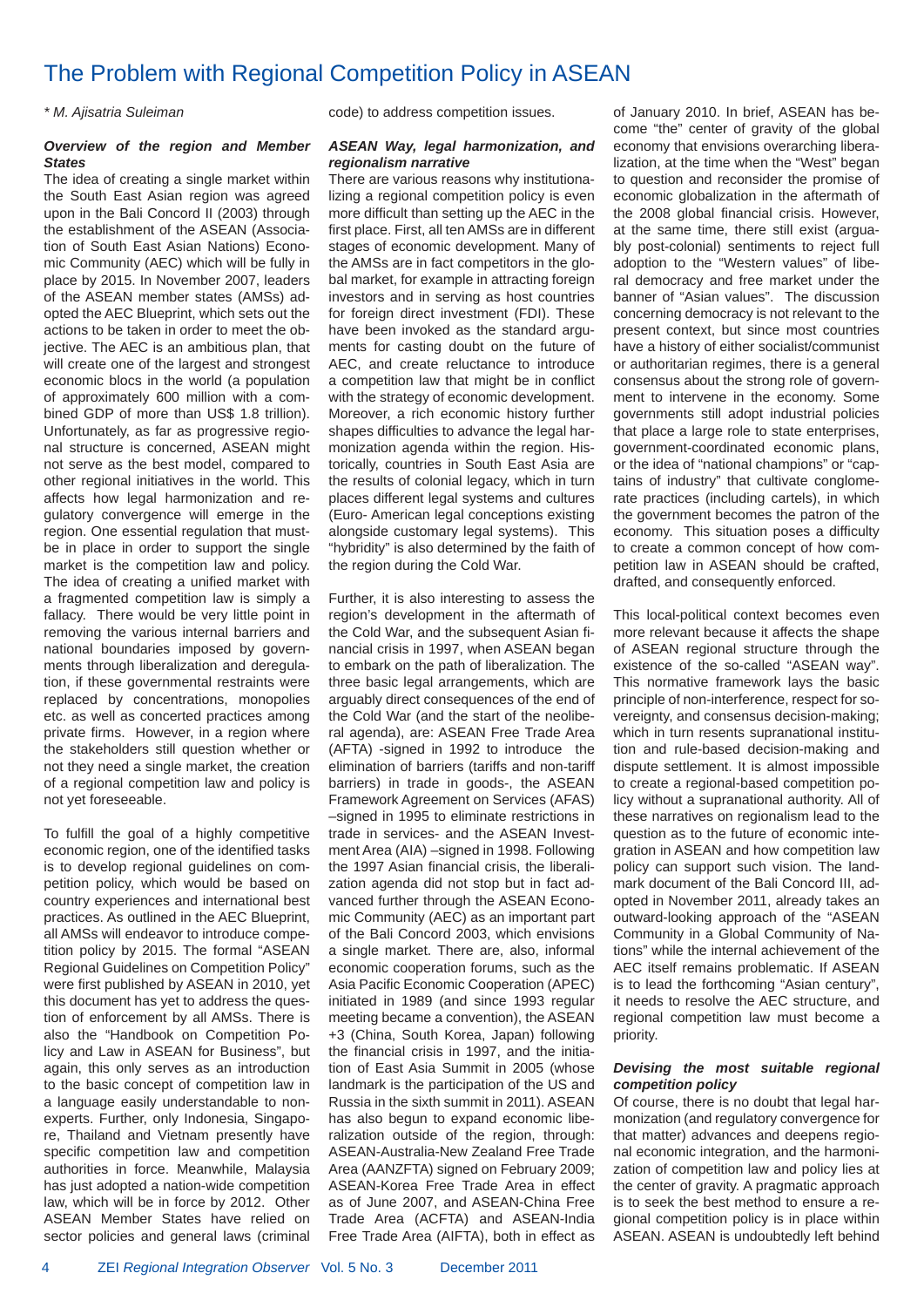### The Problem with Regional Competition Policy in ASEAN

#### *\* M. Ajisatria Suleiman*

#### *Overview of the region and Member States*

The idea of creating a single market within the South East Asian region was agreed upon in the Bali Concord II (2003) through the establishment of the ASEAN (Association of South East Asian Nations) Economic Community (AEC) which will be fully in place by 2015. In November 2007, leaders of the ASEAN member states (AMSs) adopted the AEC Blueprint, which sets out the actions to be taken in order to meet the objective. The AEC is an ambitious plan, that will create one of the largest and strongest economic blocs in the world (a population of approximately 600 million with a combined GDP of more than US\$ 1.8 trillion). Unfortunately, as far as progressive regional structure is concerned, ASEAN might not serve as the best model, compared to other regional initiatives in the world. This affects how legal harmonization and regulatory convergence will emerge in the region. One essential regulation that mustbe in place in order to support the single market is the competition law and policy. The idea of creating a unified market with a fragmented competition law is simply a fallacy. There would be very little point in removing the various internal barriers and national boundaries imposed by governments through liberalization and deregulation, if these governmental restraints were replaced by concentrations, monopolies etc. as well as concerted practices among private firms. However, in a region where the stakeholders still question whether or not they need a single market, the creation of a regional competition law and policy is not yet foreseeable.

To fulfill the goal of a highly competitive economic region, one of the identified tasks is to develop regional guidelines on competition policy, which would be based on country experiences and international best practices. As outlined in the AEC Blueprint, all AMSs will endeavor to introduce competition policy by 2015. The formal "ASEAN Regional Guidelines on Competition Policy" were first published by ASEAN in 2010, yet this document has yet to address the question of enforcement by all AMSs. There is also the "Handbook on Competition Policy and Law in ASEAN for Business", but again, this only serves as an introduction to the basic concept of competition law in a language easily understandable to nonexperts. Further, only Indonesia, Singapore, Thailand and Vietnam presently have specific competition law and competition authorities in force. Meanwhile, Malaysia has just adopted a nation-wide competition law, which will be in force by 2012. Other ASEAN Member States have relied on sector policies and general laws (criminal

code) to address competition issues.

#### *ASEAN Way, legal harmonization, and regionalism narrative*

There are various reasons why institutionalizing a regional competition policy is even more difficult than setting up the AEC in the first place. First, all ten AMSs are in different stages of economic development. Many of the AMSs are in fact competitors in the global market, for example in attracting foreign investors and in serving as host countries for foreign direct investment (FDI). These have been invoked as the standard arguments for casting doubt on the future of AEC, and create reluctance to introduce a competition law that might be in conflict with the strategy of economic development. Moreover, a rich economic history further shapes difficulties to advance the legal harmonization agenda within the region. Historically, countries in South East Asia are the results of colonial legacy, which in turn places different legal systems and cultures (Euro- American legal conceptions existing alongside customary legal systems). This "hybridity" is also determined by the faith of the region during the Cold War.

Further, it is also interesting to assess the region's development in the aftermath of the Cold War, and the subsequent Asian financial crisis in 1997, when ASEAN began to embark on the path of liberalization. The three basic legal arrangements, which are arguably direct consequences of the end of the Cold War (and the start of the neoliberal agenda), are: ASEAN Free Trade Area (AFTA) -signed in 1992 to introduce the elimination of barriers (tariffs and non-tariff barriers) in trade in goods-, the ASEAN Framework Agreement on Services (AFAS) –signed in 1995 to eliminate restrictions in trade in services- and the ASEAN Investment Area (AIA) –signed in 1998. Following the 1997 Asian financial crisis, the liberalization agenda did not stop but in fact advanced further through the ASEAN Economic Community (AEC) as an important part of the Bali Concord 2003, which envisions a single market. There are, also, informal economic cooperation forums, such as the Asia Pacific Economic Cooperation (APEC) initiated in 1989 (and since 1993 regular meeting became a convention), the ASEAN +3 (China, South Korea, Japan) following the financial crisis in 1997, and the initiation of East Asia Summit in 2005 (whose landmark is the participation of the US and Russia in the sixth summit in 2011). ASEAN has also begun to expand economic liberalization outside of the region, through: ASEAN-Australia-New Zealand Free Trade Area (AANZFTA) signed on February 2009; ASEAN-Korea Free Trade Area in effect as of June 2007, and ASEAN-China Free Trade Area (ACFTA) and ASEAN-India Free Trade Area (AIFTA), both in effect as

of January 2010. In brief, ASEAN has become "the" center of gravity of the global economy that envisions overarching liberalization, at the time when the "West" began to question and reconsider the promise of economic globalization in the aftermath of the 2008 global financial crisis. However, at the same time, there still exist (arguably post-colonial) sentiments to reject full adoption to the "Western values" of liberal democracy and free market under the banner of "Asian values". The discussion concerning democracy is not relevant to the present context, but since most countries have a history of either socialist/communist or authoritarian regimes, there is a general consensus about the strong role of government to intervene in the economy. Some governments still adopt industrial policies that place a large role to state enterprises, government-coordinated economic plans, or the idea of "national champions" or "captains of industry" that cultivate conglomerate practices (including cartels), in which the government becomes the patron of the economy. This situation poses a difficulty to create a common concept of how competition law in ASEAN should be crafted, drafted, and consequently enforced.

This local-political context becomes even more relevant because it affects the shape of ASEAN regional structure through the existence of the so-called "ASEAN way". This normative framework lays the basic principle of non-interference, respect for sovereignty, and consensus decision-making; which in turn resents supranational institution and rule-based decision-making and dispute settlement. It is almost impossible to create a regional-based competition policy without a supranational authority. All of these narratives on regionalism lead to the question as to the future of economic integration in ASEAN and how competition law policy can support such vision. The landmark document of the Bali Concord III, adopted in November 2011, already takes an outward-looking approach of the "ASEAN Community in a Global Community of Nations" while the internal achievement of the AEC itself remains problematic. If ASEAN is to lead the forthcoming "Asian century", it needs to resolve the AEC structure, and regional competition law must become a priority.

#### *Devising the most suitable regional competition policy*

Of course, there is no doubt that legal harmonization (and regulatory convergence for that matter) advances and deepens regional economic integration, and the harmonization of competition law and policy lies at the center of gravity. A pragmatic approach is to seek the best method to ensure a regional competition policy is in place within ASEAN. ASEAN is undoubtedly left behind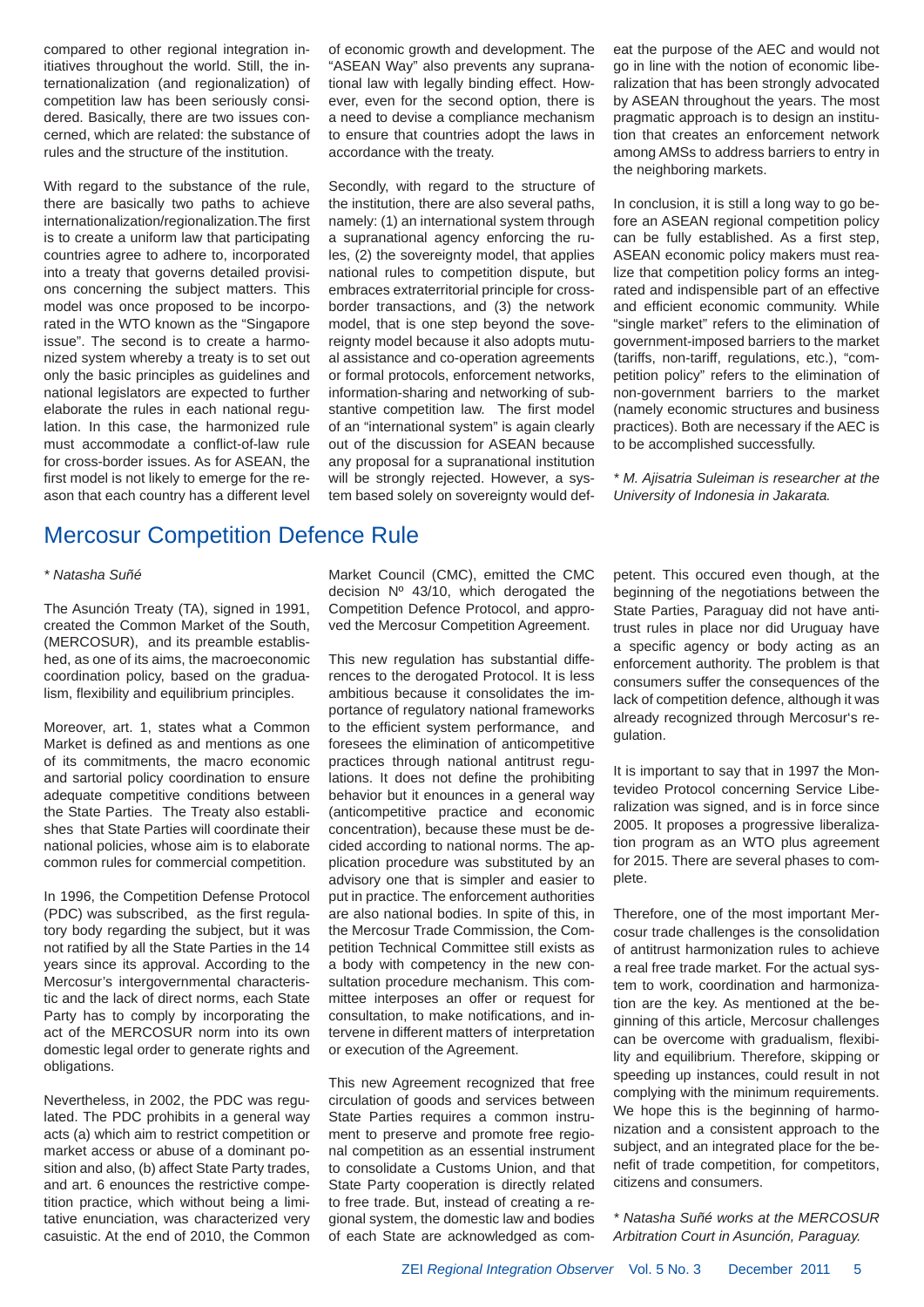compared to other regional integration initiatives throughout the world. Still, the internationalization (and regionalization) of competition law has been seriously considered. Basically, there are two issues concerned, which are related: the substance of rules and the structure of the institution.

With regard to the substance of the rule, there are basically two paths to achieve internationalization/regionalization.The first is to create a uniform law that participating countries agree to adhere to, incorporated into a treaty that governs detailed provisions concerning the subject matters. This model was once proposed to be incorporated in the WTO known as the "Singapore issue". The second is to create a harmonized system whereby a treaty is to set out only the basic principles as guidelines and national legislators are expected to further elaborate the rules in each national regulation. In this case, the harmonized rule must accommodate a conflict-of-law rule for cross-border issues. As for ASEAN, the first model is not likely to emerge for the reason that each country has a different level

### Mercosur Competition Defence Rule

#### *\* Natasha Suñé*

The Asunción Treaty (TA), signed in 1991, created the Common Market of the South, (MERCOSUR), and its preamble established, as one of its aims, the macroeconomic coordination policy, based on the gradualism, flexibility and equilibrium principles.

Moreover, art. 1, states what a Common Market is defined as and mentions as one of its commitments, the macro economic and sartorial policy coordination to ensure adequate competitive conditions between the State Parties. The Treaty also establishes that State Parties will coordinate their national policies, whose aim is to elaborate common rules for commercial competition.

In 1996, the Competition Defense Protocol (PDC) was subscribed, as the first regulatory body regarding the subject, but it was not ratified by all the State Parties in the 14 years since its approval. According to the Mercosur's intergovernmental characteristic and the lack of direct norms, each State Party has to comply by incorporating the act of the MERCOSUR norm into its own domestic legal order to generate rights and obligations.

Nevertheless, in 2002, the PDC was regulated. The PDC prohibits in a general way acts (a) which aim to restrict competition or market access or abuse of a dominant position and also, (b) affect State Party trades, and art. 6 enounces the restrictive competition practice, which without being a limitative enunciation, was characterized very casuistic. At the end of 2010, the Common of economic growth and development. The "ASEAN Way" also prevents any supranational law with legally binding effect. However, even for the second option, there is a need to devise a compliance mechanism to ensure that countries adopt the laws in accordance with the treaty.

Secondly, with regard to the structure of the institution, there are also several paths, namely: (1) an international system through a supranational agency enforcing the rules, (2) the sovereignty model, that applies national rules to competition dispute, but embraces extraterritorial principle for crossborder transactions, and (3) the network model, that is one step beyond the sovereignty model because it also adopts mutual assistance and co-operation agreements or formal protocols, enforcement networks, information-sharing and networking of substantive competition law. The first model of an "international system" is again clearly out of the discussion for ASEAN because any proposal for a supranational institution will be strongly rejected. However, a system based solely on sovereignty would defeat the purpose of the AEC and would not go in line with the notion of economic liberalization that has been strongly advocated by ASEAN throughout the years. The most pragmatic approach is to design an institution that creates an enforcement network among AMSs to address barriers to entry in the neighboring markets.

In conclusion, it is still a long way to go before an ASEAN regional competition policy can be fully established. As a first step, ASEAN economic policy makers must realize that competition policy forms an integrated and indispensible part of an effective and efficient economic community. While "single market" refers to the elimination of government-imposed barriers to the market (tariffs, non-tariff, regulations, etc.), "competition policy" refers to the elimination of non-government barriers to the market (namely economic structures and business practices). Both are necessary if the AEC is to be accomplished successfully.

*\* M. Ajisatria Suleiman is researcher at the University of Indonesia in Jakarata.*

Market Council (CMC), emitted the CMC decision Nº 43/10, which derogated the Competition Defence Protocol, and approved the Mercosur Competition Agreement.

This new regulation has substantial differences to the derogated Protocol. It is less ambitious because it consolidates the importance of regulatory national frameworks to the efficient system performance, and foresees the elimination of anticompetitive practices through national antitrust regulations. It does not define the prohibiting behavior but it enounces in a general way (anticompetitive practice and economic concentration), because these must be decided according to national norms. The application procedure was substituted by an advisory one that is simpler and easier to put in practice. The enforcement authorities are also national bodies. In spite of this, in the Mercosur Trade Commission, the Competition Technical Committee still exists as a body with competency in the new consultation procedure mechanism. This committee interposes an offer or request for consultation, to make notifications, and intervene in different matters of interpretation or execution of the Agreement.

This new Agreement recognized that free circulation of goods and services between State Parties requires a common instrument to preserve and promote free regional competition as an essential instrument to consolidate a Customs Union, and that State Party cooperation is directly related to free trade. But, instead of creating a regional system, the domestic law and bodies of each State are acknowledged as competent. This occured even though, at the beginning of the negotiations between the State Parties, Paraguay did not have antitrust rules in place nor did Uruguay have a specific agency or body acting as an enforcement authority. The problem is that consumers suffer the consequences of the lack of competition defence, although it was already recognized through Mercosur's regulation.

It is important to say that in 1997 the Montevideo Protocol concerning Service Liberalization was signed, and is in force since 2005. It proposes a progressive liberalization program as an WTO plus agreement for 2015. There are several phases to complete.

Therefore, one of the most important Mercosur trade challenges is the consolidation of antitrust harmonization rules to achieve a real free trade market. For the actual system to work, coordination and harmonization are the key. As mentioned at the beginning of this article, Mercosur challenges can be overcome with gradualism, flexibility and equilibrium. Therefore, skipping or speeding up instances, could result in not complying with the minimum requirements. We hope this is the beginning of harmonization and a consistent approach to the subject, and an integrated place for the benefit of trade competition, for competitors, citizens and consumers.

*\* Natasha Suñé works at the MERCOSUR Arbitration Court in Asunción, Paraguay.*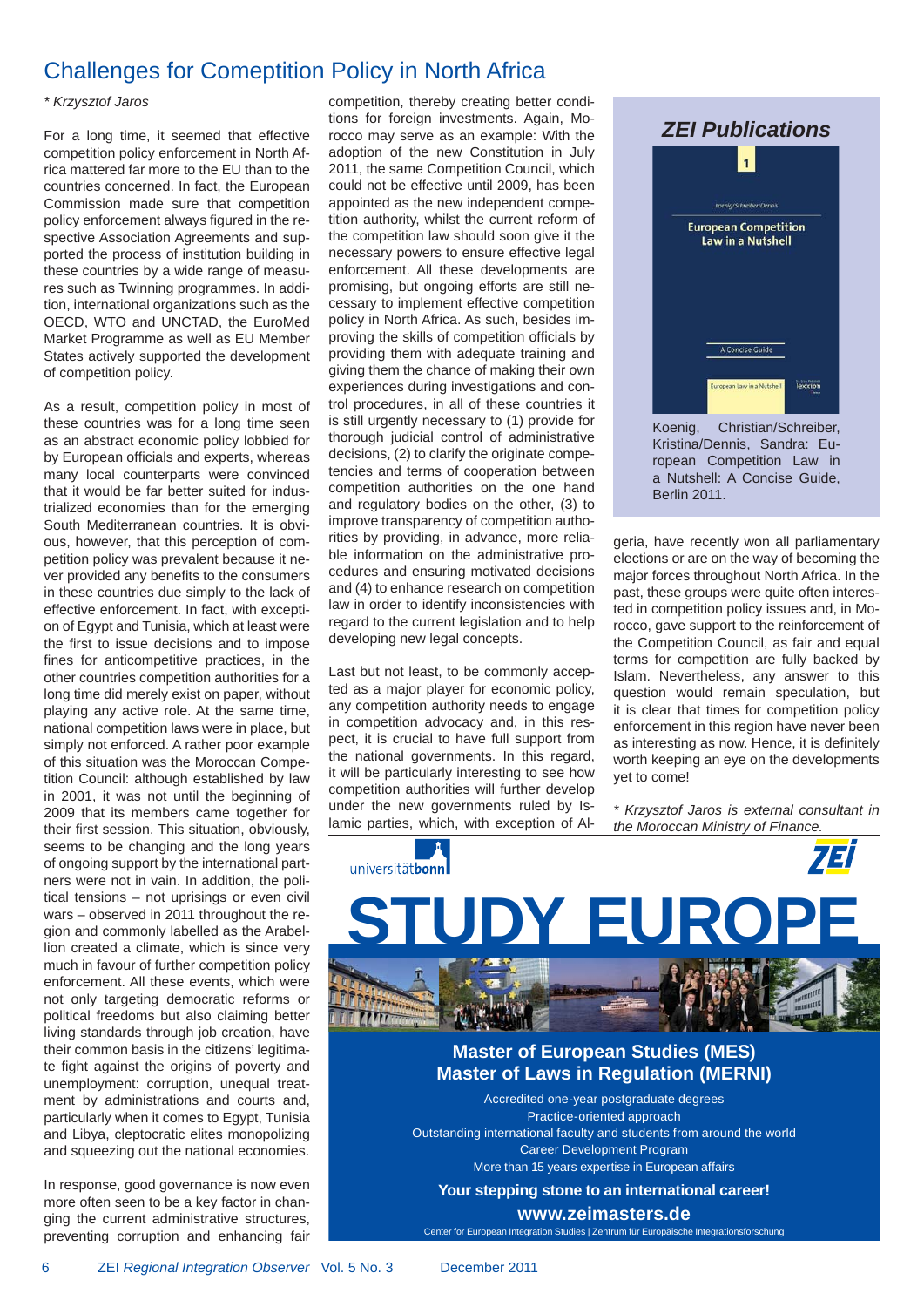### Challenges for Comeptition Policy in North Africa

#### *\* Krzysztof Jaros*

For a long time, it seemed that effective competition policy enforcement in North Africa mattered far more to the EU than to the countries concerned. In fact, the European Commission made sure that competition policy enforcement always figured in the respective Association Agreements and supported the process of institution building in these countries by a wide range of measures such as Twinning programmes. In addition, international organizations such as the OECD, WTO and UNCTAD, the EuroMed Market Programme as well as EU Member States actively supported the development of competition policy.

As a result, competition policy in most of these countries was for a long time seen as an abstract economic policy lobbied for by European officials and experts, whereas many local counterparts were convinced that it would be far better suited for industrialized economies than for the emerging South Mediterranean countries. It is obvious, however, that this perception of competition policy was prevalent because it never provided any benefits to the consumers in these countries due simply to the lack of effective enforcement. In fact, with exception of Egypt and Tunisia, which at least were the first to issue decisions and to impose fines for anticompetitive practices, in the other countries competition authorities for a long time did merely exist on paper, without playing any active role. At the same time, national competition laws were in place, but simply not enforced. A rather poor example of this situation was the Moroccan Competition Council: although established by law in 2001, it was not until the beginning of 2009 that its members came together for their first session. This situation, obviously, seems to be changing and the long years of ongoing support by the international partners were not in vain. In addition, the political tensions – not uprisings or even civil wars – observed in 2011 throughout the region and commonly labelled as the Arabellion created a climate, which is since very much in favour of further competition policy enforcement. All these events, which were not only targeting democratic reforms or political freedoms but also claiming better living standards through job creation, have their common basis in the citizens' legitimate fight against the origins of poverty and unemployment: corruption, unequal treatment by administrations and courts and, particularly when it comes to Egypt, Tunisia and Libya, cleptocratic elites monopolizing and squeezing out the national economies.

In response, good governance is now even more often seen to be a key factor in changing the current administrative structures, preventing corruption and enhancing fair competition, thereby creating better conditions for foreign investments. Again, Morocco may serve as an example: With the adoption of the new Constitution in July 2011, the same Competition Council, which could not be effective until 2009, has been appointed as the new independent competition authority, whilst the current reform of the competition law should soon give it the necessary powers to ensure effective legal enforcement. All these developments are promising, but ongoing efforts are still necessary to implement effective competition policy in North Africa. As such, besides improving the skills of competition officials by providing them with adequate training and giving them the chance of making their own experiences during investigations and control procedures, in all of these countries it is still urgently necessary to (1) provide for thorough judicial control of administrative decisions, (2) to clarify the originate competencies and terms of cooperation between competition authorities on the one hand and regulatory bodies on the other, (3) to improve transparency of competition authorities by providing, in advance, more reliable information on the administrative procedures and ensuring motivated decisions and (4) to enhance research on competition law in order to identify inconsistencies with regard to the current legislation and to help developing new legal concepts.

Last but not least, to be commonly accepted as a major player for economic policy, any competition authority needs to engage in competition advocacy and, in this respect, it is crucial to have full support from the national governments. In this regard, it will be particularly interesting to see how competition authorities will further develop under the new governments ruled by Islamic parties, which, with exception of Al-



Kristina/Dennis, Sandra: European Competition Law in a Nutshell: A Concise Guide, Berlin 2011.

geria, have recently won all parliamentary elections or are on the way of becoming the major forces throughout North Africa. In the past, these groups were quite often interested in competition policy issues and, in Morocco, gave support to the reinforcement of the Competition Council, as fair and equal terms for competition are fully backed by Islam. Nevertheless, any answer to this question would remain speculation, but it is clear that times for competition policy enforcement in this region have never been as interesting as now. Hence, it is definitely worth keeping an eye on the developments yet to come!

*\* Krzysztof Jaros is external consultant in the Moroccan Ministry of Finance.*



Accredited one-year postgraduate degrees Practice-oriented approach Outstanding international faculty and students from around the world Career Development Program More than 15 years expertise in European affairs

**Your stepping stone to an international career!**

**www.zeimasters.de**

Center for European Integration Studies | Zentrum für Europäische Integrationsforschung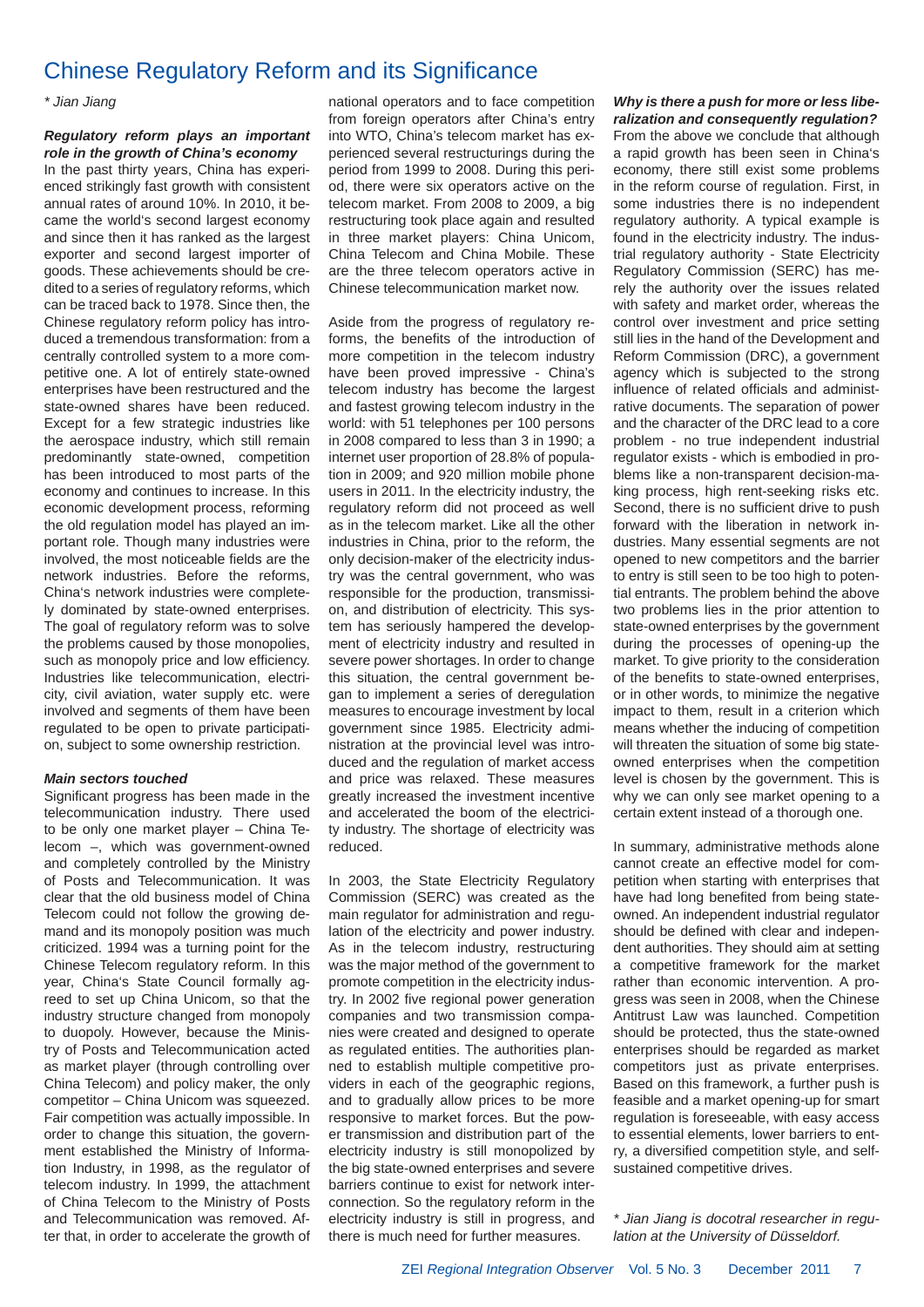### Chinese Regulatory Reform and its Significance

*\* Jian Jiang*

*Regulatory reform plays an important role in the growth of China's economy* In the past thirty years, China has experienced strikingly fast growth with consistent annual rates of around 10%. In 2010, it became the world's second largest economy and since then it has ranked as the largest exporter and second largest importer of goods. These achievements should be credited to a series of regulatory reforms, which can be traced back to 1978. Since then, the Chinese regulatory reform policy has introduced a tremendous transformation: from a centrally controlled system to a more competitive one. A lot of entirely state-owned enterprises have been restructured and the state-owned shares have been reduced. Except for a few strategic industries like the aerospace industry, which still remain predominantly state-owned, competition has been introduced to most parts of the economy and continues to increase. In this economic development process, reforming the old regulation model has played an important role. Though many industries were involved, the most noticeable fields are the network industries. Before the reforms, China's network industries were completely dominated by state-owned enterprises. The goal of regulatory reform was to solve the problems caused by those monopolies, such as monopoly price and low efficiency. Industries like telecommunication, electricity, civil aviation, water supply etc. were involved and segments of them have been regulated to be open to private participation, subject to some ownership restriction.

#### *Main sectors touched*

Significant progress has been made in the telecommunication industry. There used to be only one market player – China Telecom –, which was government-owned and completely controlled by the Ministry of Posts and Telecommunication. It was clear that the old business model of China Telecom could not follow the growing demand and its monopoly position was much criticized. 1994 was a turning point for the Chinese Telecom regulatory reform. In this year, China's State Council formally agreed to set up China Unicom, so that the industry structure changed from monopoly to duopoly. However, because the Ministry of Posts and Telecommunication acted as market player (through controlling over China Telecom) and policy maker, the only competitor – China Unicom was squeezed. Fair competition was actually impossible. In order to change this situation, the government established the Ministry of Information Industry, in 1998, as the regulator of telecom industry. In 1999, the attachment of China Telecom to the Ministry of Posts and Telecommunication was removed. After that, in order to accelerate the growth of national operators and to face competition from foreign operators after China's entry into WTO, China's telecom market has experienced several restructurings during the period from 1999 to 2008. During this period, there were six operators active on the telecom market. From 2008 to 2009, a big restructuring took place again and resulted in three market players: China Unicom, China Telecom and China Mobile. These are the three telecom operators active in Chinese telecommunication market now.

Aside from the progress of regulatory reforms, the benefits of the introduction of more competition in the telecom industry have been proved impressive - China's telecom industry has become the largest and fastest growing telecom industry in the world: with 51 telephones per 100 persons in 2008 compared to less than 3 in 1990; a internet user proportion of 28.8% of population in 2009; and 920 million mobile phone users in 2011. In the electricity industry, the regulatory reform did not proceed as well as in the telecom market. Like all the other industries in China, prior to the reform, the only decision-maker of the electricity industry was the central government, who was responsible for the production, transmission, and distribution of electricity. This system has seriously hampered the development of electricity industry and resulted in severe power shortages. In order to change this situation, the central government began to implement a series of deregulation measures to encourage investment by local government since 1985. Electricity administration at the provincial level was introduced and the regulation of market access and price was relaxed. These measures greatly increased the investment incentive and accelerated the boom of the electricity industry. The shortage of electricity was reduced.

In 2003, the State Electricity Regulatory Commission (SERC) was created as the main regulator for administration and regulation of the electricity and power industry. As in the telecom industry, restructuring was the major method of the government to promote competition in the electricity industry. In 2002 five regional power generation companies and two transmission companies were created and designed to operate as regulated entities. The authorities planned to establish multiple competitive providers in each of the geographic regions, and to gradually allow prices to be more responsive to market forces. But the power transmission and distribution part of the electricity industry is still monopolized by the big state-owned enterprises and severe barriers continue to exist for network interconnection. So the regulatory reform in the electricity industry is still in progress, and there is much need for further measures.

#### *Why is there a push for more or less liberalization and consequently regulation?*

From the above we conclude that although a rapid growth has been seen in China's economy, there still exist some problems in the reform course of regulation. First, in some industries there is no independent regulatory authority. A typical example is found in the electricity industry. The industrial regulatory authority - State Electricity Regulatory Commission (SERC) has merely the authority over the issues related with safety and market order, whereas the control over investment and price setting still lies in the hand of the Development and Reform Commission (DRC), a government agency which is subjected to the strong influence of related officials and administrative documents. The separation of power and the character of the DRC lead to a core problem - no true independent industrial regulator exists - which is embodied in problems like a non-transparent decision-making process, high rent-seeking risks etc. Second, there is no sufficient drive to push forward with the liberation in network industries. Many essential segments are not opened to new competitors and the barrier to entry is still seen to be too high to potential entrants. The problem behind the above two problems lies in the prior attention to state-owned enterprises by the government during the processes of opening-up the market. To give priority to the consideration of the benefits to state-owned enterprises. or in other words, to minimize the negative impact to them, result in a criterion which means whether the inducing of competition will threaten the situation of some big stateowned enterprises when the competition level is chosen by the government. This is why we can only see market opening to a certain extent instead of a thorough one.

In summary, administrative methods alone cannot create an effective model for competition when starting with enterprises that have had long benefited from being stateowned. An independent industrial regulator should be defined with clear and independent authorities. They should aim at setting a competitive framework for the market rather than economic intervention. A progress was seen in 2008, when the Chinese Antitrust Law was launched. Competition should be protected, thus the state-owned enterprises should be regarded as market competitors just as private enterprises. Based on this framework, a further push is feasible and a market opening-up for smart regulation is foreseeable, with easy access to essential elements, lower barriers to entry, a diversified competition style, and selfsustained competitive drives.

*\* Jian Jiang is docotral researcher in regulation at the University of Düsseldorf.*